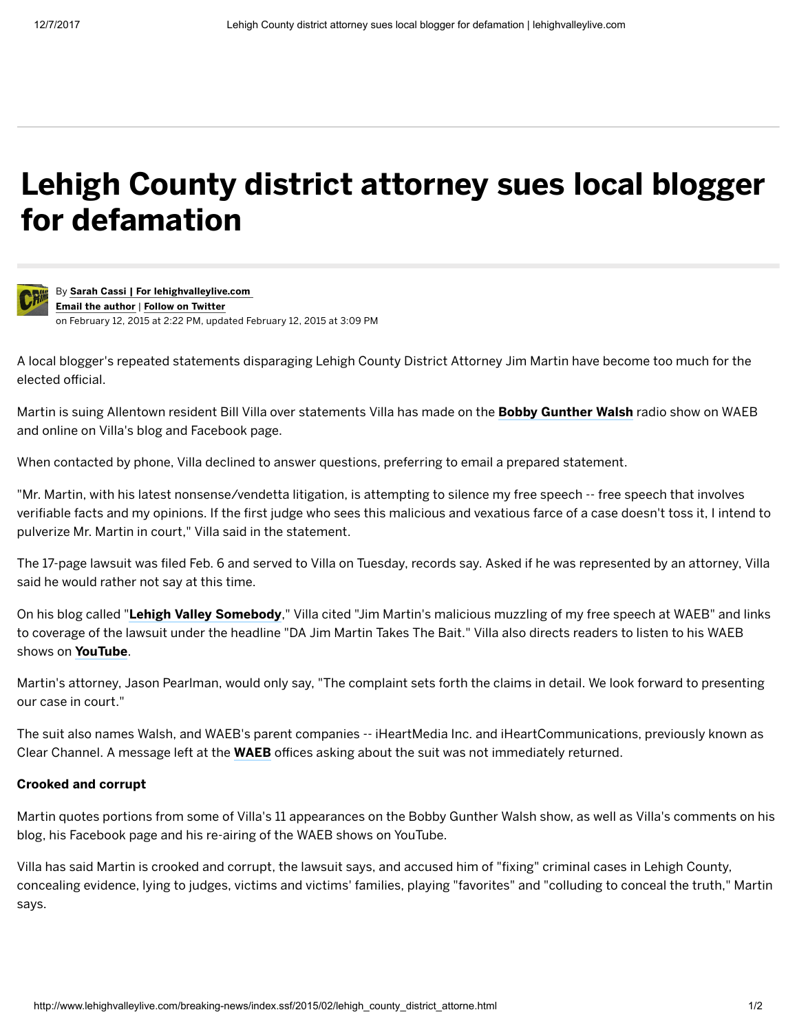## Lehigh County district attorney sues local blogger for defamation



By Sarah Cassi | For [lehighvalleylive.com](http://connect.lehighvalleylive.com/user/scassi/posts.html) Email the author | Follow on [Twitter](https://twitter.com/SarahCassi) on February 12, 2015 at 2:22 PM, updated February 12, 2015 at 3:09 PM

A local blogger's repeated statements disparaging Lehigh County District Attorney Jim Martin have become too much for the elected official.

Martin is suing Allentown resident Bill Villa over statements Villa has made on the **Bobby [Gunther](http://www.790waeb.com/onair/bobby-gunther-walsh-3823/) Walsh** radio show on WAEB and online on Villa's blog and Facebook page.

When contacted by phone, Villa declined to answer questions, preferring to email a prepared statement.

"Mr. Martin, with his latest nonsense/vendetta litigation, is attempting to silence my free speech -- free speech that involves verifiable facts and my opinions. If the first judge who sees this malicious and vexatious farce of a case doesn't toss it, I intend to pulverize Mr. Martin in court," Villa said in the statement.

The 17-page lawsuit was filed Feb. 6 and served to Villa on Tuesday, records say. Asked if he was represented by an attorney, Villa said he would rather not say at this time.

On his blog called "Lehigh Valley [Somebody](http://bloggingdottie.blogspot.com/)," Villa cited "Jim Martin's malicious muzzling of my free speech at WAEB" and links to coverage of the lawsuit under the headline "DA Jim Martin Takes The Bait." Villa also directs readers to listen to his WAEB shows on [YouTube](https://www.youtube.com/user/alacarbv).

Martin's attorney, Jason Pearlman, would only say, "The complaint sets forth the claims in detail. We look forward to presenting our case in court."

The suit also names Walsh, and WAEB's parent companies -- iHeartMedia Inc. and iHeartCommunications, previously known as Clear Channel. A message left at the [WAEB](http://www.790waeb.com/main.html) offices asking about the suit was not immediately returned.

## Crooked and corrupt

Martin quotes portions from some of Villa's 11 appearances on the Bobby Gunther Walsh show, as well as Villa's comments on his blog, his Facebook page and his re-airing of the WAEB shows on YouTube.

Villa has said Martin is crooked and corrupt, the lawsuit says, and accused him of "fixing" criminal cases in Lehigh County, concealing evidence, lying to judges, victims and victims' families, playing "favorites" and "colluding to conceal the truth," Martin says.